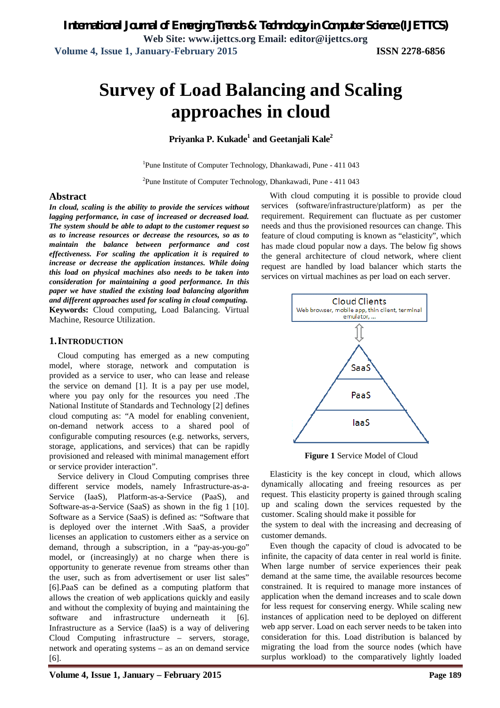# **Survey of Load Balancing and Scaling approaches in cloud**

**Priyanka P. Kukade<sup>1</sup> and Geetanjali Kale<sup>2</sup>**

<sup>1</sup>Pune Institute of Computer Technology, Dhankawadi, Pune - 411 043

2 Pune Institute of Computer Technology, Dhankawadi, Pune - 411 043

#### **Abstract**

*In cloud, scaling is the ability to provide the services without lagging performance, in case of increased or decreased load. The system should be able to adapt to the customer request so as to increase resources or decrease the resources, so as to maintain the balance between performance and cost effectiveness. For scaling the application it is required to increase or decrease the application instances. While doing this load on physical machines also needs to be taken into consideration for maintaining a good performance. In this paper we have studied the existing load balancing algorithm and different approaches used for scaling in cloud computing.* **Keywords:** Cloud computing, Load Balancing. Virtual Machine, Resource Utilization.

#### **1.INTRODUCTION**

Cloud computing has emerged as a new computing model, where storage, network and computation is provided as a service to user, who can lease and release the service on demand [1]. It is a pay per use model, where you pay only for the resources you need .The National Institute of Standards and Technology [2] defines cloud computing as: "A model for enabling convenient, on-demand network access to a shared pool of configurable computing resources (e.g. networks, servers, storage, applications, and services) that can be rapidly provisioned and released with minimal management effort or service provider interaction".

Service delivery in Cloud Computing comprises three different service models, namely Infrastructure-as-a-Service (IaaS), Platform-as-a-Service (PaaS), and Software-as-a-Service (SaaS) as shown in the fig 1 [10]. Software as a Service (SaaS) is defined as: "Software that is deployed over the internet .With SaaS, a provider licenses an application to customers either as a service on demand, through a subscription, in a "pay-as-you-go" model, or (increasingly) at no charge when there is opportunity to generate revenue from streams other than the user, such as from advertisement or user list sales" [6].PaaS can be defined as a computing platform that allows the creation of web applications quickly and easily and without the complexity of buying and maintaining the software and infrastructure underneath it [6]. Infrastructure as a Service (IaaS) is a way of delivering Cloud Computing infrastructure – servers, storage, network and operating systems – as an on demand service [6].

With cloud computing it is possible to provide cloud services (software/infrastructure/platform) as per the requirement. Requirement can fluctuate as per customer needs and thus the provisioned resources can change. This feature of cloud computing is known as "elasticity", which has made cloud popular now a days. The below fig shows the general architecture of cloud network, where client request are handled by load balancer which starts the services on virtual machines as per load on each server.



**Figure 1** Service Model of Cloud

Elasticity is the key concept in cloud, which allows dynamically allocating and freeing resources as per request. This elasticity property is gained through scaling up and scaling down the services requested by the customer. Scaling should make it possible for

the system to deal with the increasing and decreasing of customer demands.

Even though the capacity of cloud is advocated to be infinite, the capacity of data center in real world is finite. When large number of service experiences their peak demand at the same time, the available resources become constrained. It is required to manage more instances of application when the demand increases and to scale down for less request for conserving energy. While scaling new instances of application need to be deployed on different web app server. Load on each server needs to be taken into consideration for this. Load distribution is balanced by migrating the load from the source nodes (which have surplus workload) to the comparatively lightly loaded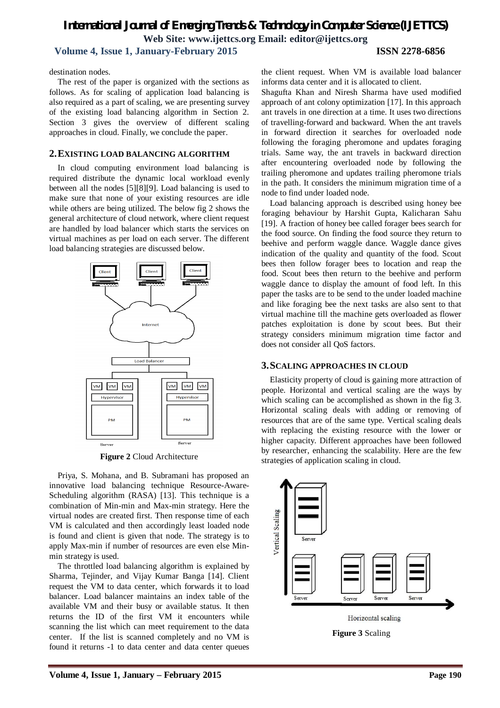## *International Journal of Emerging Trends & Technology in Computer Science (IJETTCS)* **Web Site: www.ijettcs.org Email: editor@ijettcs.org Volume 4, Issue 1, January-February 2015 ISSN 2278-6856**

destination nodes.

The rest of the paper is organized with the sections as follows. As for scaling of application load balancing is also required as a part of scaling, we are presenting survey of the existing load balancing algorithm in Section 2. Section 3 gives the overview of different scaling approaches in cloud. Finally, we conclude the paper.

#### **2.EXISTING LOAD BALANCING ALGORITHM**

In cloud computing environment load balancing is required distribute the dynamic local workload evenly between all the nodes [5][8][9]. Load balancing is used to make sure that none of your existing resources are idle while others are being utilized. The below fig 2 shows the general architecture of cloud network, where client request are handled by load balancer which starts the services on virtual machines as per load on each server. The different load balancing strategies are discussed below.



**Figure 2** Cloud Architecture

Priya, S. Mohana, and B. Subramani has proposed an innovative load balancing technique Resource-Aware-Scheduling algorithm (RASA) [13]. This technique is a combination of Min-min and Max-min strategy. Here the virtual nodes are created first. Then response time of each VM is calculated and then accordingly least loaded node is found and client is given that node. The strategy is to apply Max-min if number of resources are even else Minmin strategy is used.

The throttled load balancing algorithm is explained by Sharma, Tejinder, and Vijay Kumar Banga [14]. Client request the VM to data center, which forwards it to load balancer. Load balancer maintains an index table of the available VM and their busy or available status. It then returns the ID of the first VM it encounters while scanning the list which can meet requirement to the data center. If the list is scanned completely and no VM is found it returns -1 to data center and data center queues

the client request. When VM is available load balancer informs data center and it is allocated to client.

Shagufta Khan and Niresh Sharma have used modified approach of ant colony optimization [17]. In this approach ant travels in one direction at a time. It uses two directions of travelling-forward and backward. When the ant travels in forward direction it searches for overloaded node following the foraging pheromone and updates foraging trials. Same way, the ant travels in backward direction after encountering overloaded node by following the trailing pheromone and updates trailing pheromone trials in the path. It considers the minimum migration time of a node to find under loaded node.

Load balancing approach is described using honey bee foraging behaviour by Harshit Gupta, Kalicharan Sahu [19]. A fraction of honey bee called forager bees search for the food source. On finding the food source they return to beehive and perform waggle dance. Waggle dance gives indication of the quality and quantity of the food. Scout bees then follow forager bees to location and reap the food. Scout bees then return to the beehive and perform waggle dance to display the amount of food left. In this paper the tasks are to be send to the under loaded machine and like foraging bee the next tasks are also sent to that virtual machine till the machine gets overloaded as flower patches exploitation is done by scout bees. But their strategy considers minimum migration time factor and does not consider all QoS factors.

#### **3.SCALING APPROACHES IN CLOUD**

Elasticity property of cloud is gaining more attraction of people. Horizontal and vertical scaling are the ways by which scaling can be accomplished as shown in the fig 3. Horizontal scaling deals with adding or removing of resources that are of the same type. Vertical scaling deals with replacing the existing resource with the lower or higher capacity. Different approaches have been followed by researcher, enhancing the scalability. Here are the few strategies of application scaling in cloud.

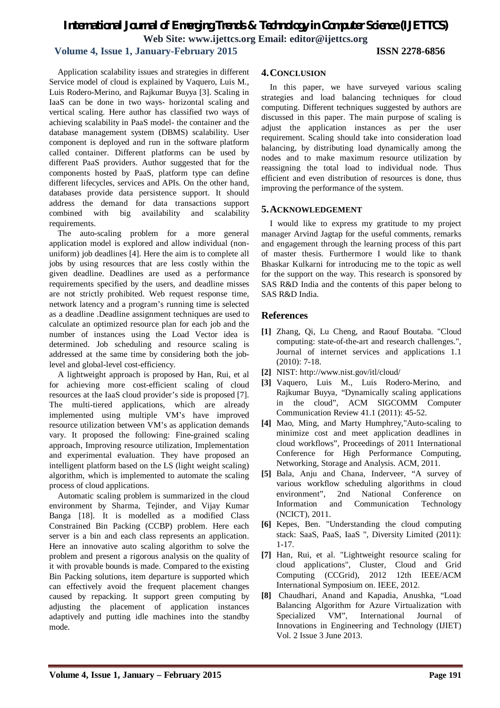# *International Journal of Emerging Trends & Technology in Computer Science (IJETTCS)* **Web Site: www.ijettcs.org Email: editor@ijettcs.org**

## **Volume 4, Issue 1, January-February 2015 ISSN 2278-6856**

Application scalability issues and strategies in different Service model of cloud is explained by Vaquero, Luis M., Luis Rodero-Merino, and Rajkumar Buyya [3]. Scaling in IaaS can be done in two ways- horizontal scaling and vertical scaling. Here author has classified two ways of achieving scalability in PaaS model- the container and the database management system (DBMS) scalability. User component is deployed and run in the software platform called container. Different platforms can be used by different PaaS providers. Author suggested that for the components hosted by PaaS, platform type can define different lifecycles, services and APIs. On the other hand, databases provide data persistence support. It should address the demand for data transactions support combined with big availability and scalability requirements.

The auto-scaling problem for a more general application model is explored and allow individual (nonuniform) job deadlines [4]. Here the aim is to complete all jobs by using resources that are less costly within the given deadline. Deadlines are used as a performance requirements specified by the users, and deadline misses are not strictly prohibited. Web request response time, network latency and a program's running time is selected as a deadline .Deadline assignment techniques are used to calculate an optimized resource plan for each job and the number of instances using the Load Vector idea is determined. Job scheduling and resource scaling is addressed at the same time by considering both the joblevel and global-level cost-efficiency.

A lightweight approach is proposed by Han, Rui, et al for achieving more cost-efficient scaling of cloud resources at the IaaS cloud provider's side is proposed [7]. The multi-tiered applications, which are already implemented using multiple VM's have improved resource utilization between VM's as application demands vary. It proposed the following: Fine-grained scaling approach, Improving resource utilization, Implementation and experimental evaluation. They have proposed an intelligent platform based on the LS (light weight scaling) algorithm, which is implemented to automate the scaling process of cloud applications.

Automatic scaling problem is summarized in the cloud environment by Sharma, Tejinder, and Vijay Kumar Banga [18]. It is modelled as a modified Class Constrained Bin Packing (CCBP) problem. Here each server is a bin and each class represents an application. Here an innovative auto scaling algorithm to solve the problem and present a rigorous analysis on the quality of it with provable bounds is made. Compared to the existing Bin Packing solutions, item departure is supported which can effectively avoid the frequent placement changes caused by repacking. It support green computing by adjusting the placement of application instances adaptively and putting idle machines into the standby mode.

#### **4.CONCLUSION**

In this paper, we have surveyed various scaling strategies and load balancing techniques for cloud computing. Different techniques suggested by authors are discussed in this paper. The main purpose of scaling is adjust the application instances as per the user requirement. Scaling should take into consideration load balancing, by distributing load dynamically among the nodes and to make maximum resource utilization by reassigning the total load to individual node. Thus efficient and even distribution of resources is done, thus improving the performance of the system.

## **5.ACKNOWLEDGEMENT**

I would like to express my gratitude to my project manager Arvind Jagtap for the useful comments, remarks and engagement through the learning process of this part of master thesis. Furthermore I would like to thank Bhaskar Kulkarni for introducing me to the topic as well for the support on the way. This research is sponsored by SAS R&D India and the contents of this paper belong to SAS R&D India.

## **References**

- **[1]** Zhang, Qi, Lu Cheng, and Raouf Boutaba. "Cloud computing: state-of-the-art and research challenges.", Journal of internet services and applications 1.1 (2010): 7-18.
- **[2]** NIST: http://www.nist.gov/itl/cloud/
- **[3]** Vaquero, Luis M., Luis Rodero-Merino, and Rajkumar Buyya, "Dynamically scaling applications in the cloud", ACM SIGCOMM Computer Communication Review 41.1 (2011): 45-52.
- **[4]** Mao, Ming, and Marty Humphrey,"Auto-scaling to minimize cost and meet application deadlines in cloud workflows", Proceedings of 2011 International Conference for High Performance Computing, Networking, Storage and Analysis. ACM, 2011.
- **[5]** Bala, Anju and Chana, Inderveer, "A survey of various workflow scheduling algorithms in cloud environment", 2nd National Conference on Information and Communication Technology (NCICT), 2011.
- **[6]** Kepes, Ben. "Understanding the cloud computing stack: SaaS, PaaS, IaaS ", Diversity Limited (2011): 1-17.
- **[7]** Han, Rui, et al. "Lightweight resource scaling for cloud applications", Cluster, Cloud and Grid Computing (CCGrid), 2012 12th IEEE/ACM International Symposium on. IEEE, 2012.
- **[8]** Chaudhari, Anand and Kapadia, Anushka, "Load Balancing Algorithm for Azure Virtualization with Specialized VM", International Journal of Innovations in Engineering and Technology (IJIET) Vol. 2 Issue 3 June 2013.